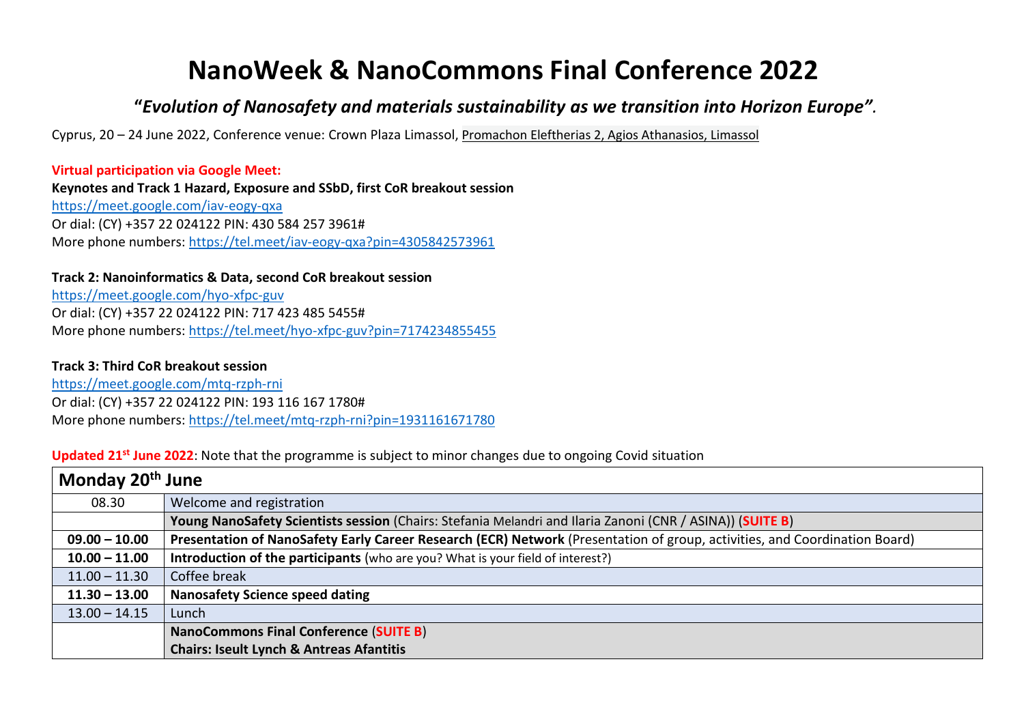# **NanoWeek & NanoCommons Final Conference 2022**

# **"***Evolution of Nanosafety and materials sustainability as we transition into Horizon Europe".*

Cyprus, 20 – 24 June 2022, Conference venue: Crown Plaza Limassol, [Promachon Eleftherias 2, Agios Athanasios, Limassol](https://maps.google.com/?daddr=34.688875,33.071423&saddr=)

**Virtual participation via Google Meet: Keynotes and Track 1 Hazard, Exposure and SSbD, first CoR breakout session** <https://meet.google.com/iav-eogy-qxa> Or dial: (CY) +357 22 024122 PIN: 430 584 257 3961# More phone numbers:<https://tel.meet/iav-eogy-qxa?pin=4305842573961>

#### **Track 2: Nanoinformatics & Data, second CoR breakout session**

<https://meet.google.com/hyo-xfpc-guv> Or dial: (CY) +357 22 024122 PIN: 717 423 485 5455# More phone numbers:<https://tel.meet/hyo-xfpc-guv?pin=7174234855455>

#### **Track 3: Third CoR breakout session**

<https://meet.google.com/mtq-rzph-rni> Or dial: (CY) +357 22 024122 PIN: 193 116 167 1780# More phone numbers:<https://tel.meet/mtq-rzph-rni?pin=1931161671780>

# **Updated 21st June 2022**: Note that the programme is subject to minor changes due to ongoing Covid situation

| Monday 20 <sup>th</sup> June |                                                                                                                            |  |
|------------------------------|----------------------------------------------------------------------------------------------------------------------------|--|
| 08.30                        | Welcome and registration                                                                                                   |  |
|                              | Young NanoSafety Scientists session (Chairs: Stefania Melandri and Ilaria Zanoni (CNR / ASINA)) (SUITE B)                  |  |
| $09.00 - 10.00$              | Presentation of NanoSafety Early Career Research (ECR) Network (Presentation of group, activities, and Coordination Board) |  |
| $10.00 - 11.00$              | Introduction of the participants (who are you? What is your field of interest?)                                            |  |
| $11.00 - 11.30$              | Coffee break                                                                                                               |  |
| $11.30 - 13.00$              | <b>Nanosafety Science speed dating</b>                                                                                     |  |
| $13.00 - 14.15$              | Lunch                                                                                                                      |  |
|                              | <b>NanoCommons Final Conference (SUITE B)</b>                                                                              |  |
|                              | <b>Chairs: Iseult Lynch &amp; Antreas Afantitis</b>                                                                        |  |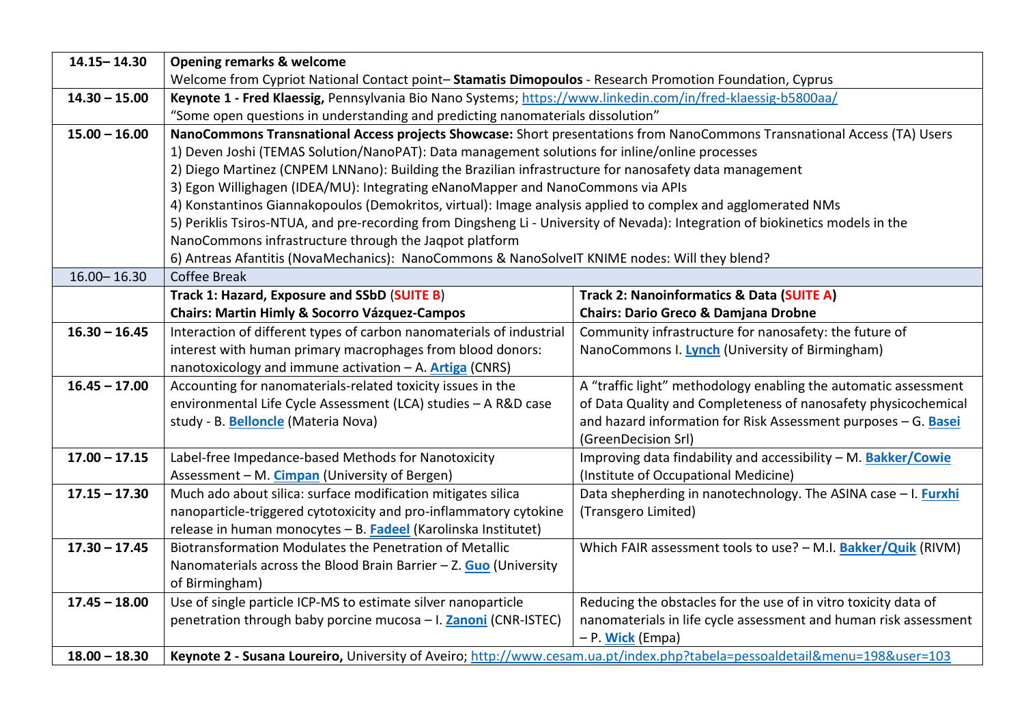| $14.15 - 14.30$ | <b>Opening remarks &amp; welcome</b>                                                                                           |                                                                  |  |  |
|-----------------|--------------------------------------------------------------------------------------------------------------------------------|------------------------------------------------------------------|--|--|
|                 | Welcome from Cypriot National Contact point-Stamatis Dimopoulos - Research Promotion Foundation, Cyprus                        |                                                                  |  |  |
| $14.30 - 15.00$ | Keynote 1 - Fred Klaessig, Pennsylvania Bio Nano Systems; https://www.linkedin.com/in/fred-klaessig-b5800aa/                   |                                                                  |  |  |
|                 | "Some open questions in understanding and predicting nanomaterials dissolution"                                                |                                                                  |  |  |
| $15.00 - 16.00$ | NanoCommons Transnational Access projects Showcase: Short presentations from NanoCommons Transnational Access (TA) Users       |                                                                  |  |  |
|                 | 1) Deven Joshi (TEMAS Solution/NanoPAT): Data management solutions for inline/online processes                                 |                                                                  |  |  |
|                 | 2) Diego Martinez (CNPEM LNNano): Building the Brazilian infrastructure for nanosafety data management                         |                                                                  |  |  |
|                 | 3) Egon Willighagen (IDEA/MU): Integrating eNanoMapper and NanoCommons via APIs                                                |                                                                  |  |  |
|                 | 4) Konstantinos Giannakopoulos (Demokritos, virtual): Image analysis applied to complex and agglomerated NMs                   |                                                                  |  |  |
|                 | 5) Periklis Tsiros-NTUA, and pre-recording from Dingsheng Li - University of Nevada): Integration of biokinetics models in the |                                                                  |  |  |
|                 | NanoCommons infrastructure through the Jaqpot platform                                                                         |                                                                  |  |  |
|                 | 6) Antreas Afantitis (NovaMechanics): NanoCommons & NanoSolveIT KNIME nodes: Will they blend?                                  |                                                                  |  |  |
| $16.00 - 16.30$ | <b>Coffee Break</b>                                                                                                            |                                                                  |  |  |
|                 | Track 1: Hazard, Exposure and SSbD (SUITE B)<br>Track 2: Nanoinformatics & Data (SUITE A)                                      |                                                                  |  |  |
|                 | <b>Chairs: Martin Himly &amp; Socorro Vázquez-Campos</b>                                                                       | <b>Chairs: Dario Greco &amp; Damjana Drobne</b>                  |  |  |
| $16.30 - 16.45$ | Interaction of different types of carbon nanomaterials of industrial                                                           | Community infrastructure for nanosafety: the future of           |  |  |
|                 | interest with human primary macrophages from blood donors:                                                                     | NanoCommons I. Lynch (University of Birmingham)                  |  |  |
|                 | nanotoxicology and immune activation - A. <b>Artiga</b> (CNRS)                                                                 |                                                                  |  |  |
| $16.45 - 17.00$ | Accounting for nanomaterials-related toxicity issues in the                                                                    | A "traffic light" methodology enabling the automatic assessment  |  |  |
|                 | environmental Life Cycle Assessment (LCA) studies - A R&D case                                                                 | of Data Quality and Completeness of nanosafety physicochemical   |  |  |
|                 | study - B. Belloncle (Materia Nova)                                                                                            | and hazard information for Risk Assessment purposes - G. Basei   |  |  |
|                 |                                                                                                                                | (GreenDecision Srl)                                              |  |  |
| $17.00 - 17.15$ | Label-free Impedance-based Methods for Nanotoxicity                                                                            | Improving data findability and accessibility - M. Bakker/Cowie   |  |  |
|                 | Assessment - M. Cimpan (University of Bergen)                                                                                  | (Institute of Occupational Medicine)                             |  |  |
| $17.15 - 17.30$ | Much ado about silica: surface modification mitigates silica                                                                   | Data shepherding in nanotechnology. The ASINA case - I. Furxhi   |  |  |
|                 | nanoparticle-triggered cytotoxicity and pro-inflammatory cytokine                                                              | (Transgero Limited)                                              |  |  |
| $17.30 - 17.45$ | release in human monocytes - B. Fadeel (Karolinska Institutet)<br>Biotransformation Modulates the Penetration of Metallic      | Which FAIR assessment tools to use? - M.I. Bakker/Quik (RIVM)    |  |  |
|                 |                                                                                                                                |                                                                  |  |  |
|                 | Nanomaterials across the Blood Brain Barrier $-$ Z. Guo (University<br>of Birmingham)                                          |                                                                  |  |  |
| $17.45 - 18.00$ | Use of single particle ICP-MS to estimate silver nanoparticle                                                                  | Reducing the obstacles for the use of in vitro toxicity data of  |  |  |
|                 |                                                                                                                                | nanomaterials in life cycle assessment and human risk assessment |  |  |
|                 | penetration through baby porcine mucosa - I. Zanoni (CNR-ISTEC)<br>- P. Wick (Empa)                                            |                                                                  |  |  |
| $18.00 - 18.30$ | Keynote 2 - Susana Loureiro, University of Aveiro; http://www.cesam.ua.pt/index.php?tabela=pessoaldetail&menu=198&user=103     |                                                                  |  |  |
|                 |                                                                                                                                |                                                                  |  |  |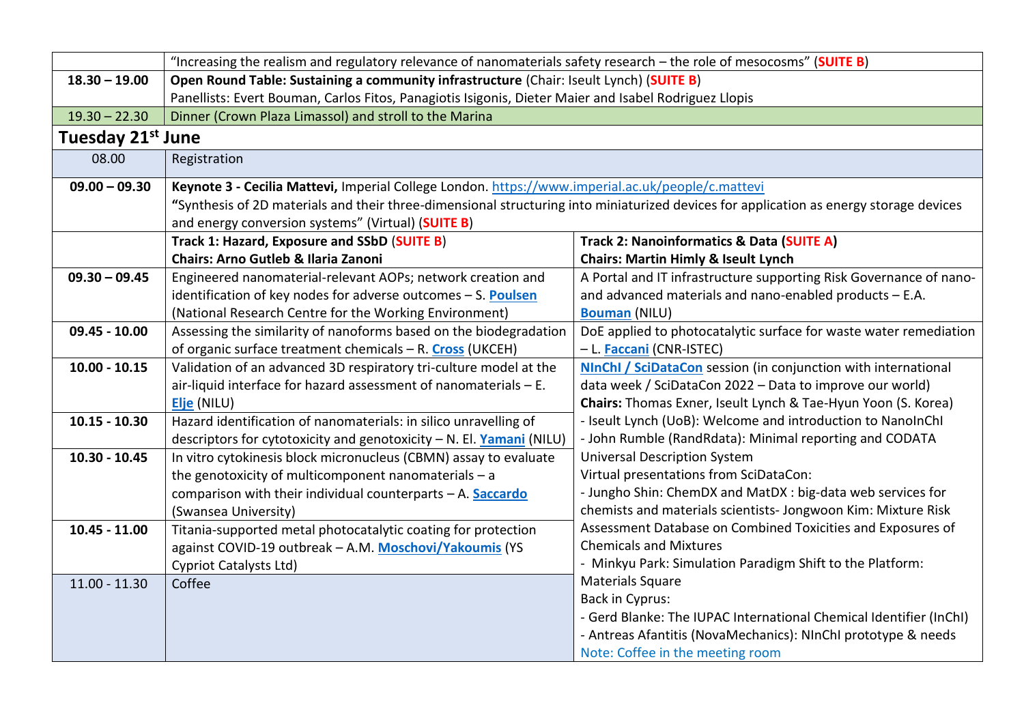|                               | "Increasing the realism and regulatory relevance of nanomaterials safety research - the role of mesocosms" (SUITE B)                   |                                                                       |  |  |  |
|-------------------------------|----------------------------------------------------------------------------------------------------------------------------------------|-----------------------------------------------------------------------|--|--|--|
| $18.30 - 19.00$               | Open Round Table: Sustaining a community infrastructure (Chair: Iseult Lynch) (SUITE B)                                                |                                                                       |  |  |  |
|                               | Panellists: Evert Bouman, Carlos Fitos, Panagiotis Isigonis, Dieter Maier and Isabel Rodriguez Llopis                                  |                                                                       |  |  |  |
| $19.30 - 22.30$               | Dinner (Crown Plaza Limassol) and stroll to the Marina                                                                                 |                                                                       |  |  |  |
| Tuesday 21 <sup>st</sup> June |                                                                                                                                        |                                                                       |  |  |  |
| 08.00                         | Registration                                                                                                                           |                                                                       |  |  |  |
| $09.00 - 09.30$               | Keynote 3 - Cecilia Mattevi, Imperial College London. https://www.imperial.ac.uk/people/c.mattevi                                      |                                                                       |  |  |  |
|                               | "Synthesis of 2D materials and their three-dimensional structuring into miniaturized devices for application as energy storage devices |                                                                       |  |  |  |
|                               | and energy conversion systems" (Virtual) (SUITE B)                                                                                     |                                                                       |  |  |  |
|                               | Track 1: Hazard, Exposure and SSbD (SUITE B)                                                                                           | Track 2: Nanoinformatics & Data (SUITE A)                             |  |  |  |
|                               | <b>Chairs: Arno Gutleb &amp; Ilaria Zanoni</b>                                                                                         | <b>Chairs: Martin Himly &amp; Iseult Lynch</b>                        |  |  |  |
| $09.30 - 09.45$               | Engineered nanomaterial-relevant AOPs; network creation and                                                                            | A Portal and IT infrastructure supporting Risk Governance of nano-    |  |  |  |
|                               | identification of key nodes for adverse outcomes - S. Poulsen                                                                          | and advanced materials and nano-enabled products - E.A.               |  |  |  |
|                               | (National Research Centre for the Working Environment)                                                                                 | <b>Bouman</b> (NILU)                                                  |  |  |  |
| 09.45 - 10.00                 | Assessing the similarity of nanoforms based on the biodegradation                                                                      | DoE applied to photocatalytic surface for waste water remediation     |  |  |  |
|                               | of organic surface treatment chemicals - R. Cross (UKCEH)                                                                              | - L. Faccani (CNR-ISTEC)                                              |  |  |  |
| $10.00 - 10.15$               | Validation of an advanced 3D respiratory tri-culture model at the                                                                      | <b>NInChI / SciDataCon</b> session (in conjunction with international |  |  |  |
|                               | air-liquid interface for hazard assessment of nanomaterials - E.                                                                       | data week / SciDataCon 2022 - Data to improve our world)              |  |  |  |
|                               | Elje (NILU)                                                                                                                            | Chairs: Thomas Exner, Iseult Lynch & Tae-Hyun Yoon (S. Korea)         |  |  |  |
| $10.15 - 10.30$               | Hazard identification of nanomaterials: in silico unravelling of                                                                       | - Iseult Lynch (UoB): Welcome and introduction to NanoInChI           |  |  |  |
|                               | descriptors for cytotoxicity and genotoxicity - N. El. Yamani (NILU)                                                                   | - John Rumble (RandRdata): Minimal reporting and CODATA               |  |  |  |
| $10.30 - 10.45$               | In vitro cytokinesis block micronucleus (CBMN) assay to evaluate                                                                       | <b>Universal Description System</b>                                   |  |  |  |
|                               | the genotoxicity of multicomponent nanomaterials $-$ a                                                                                 | Virtual presentations from SciDataCon:                                |  |  |  |
|                               | comparison with their individual counterparts - A. Saccardo                                                                            | - Jungho Shin: ChemDX and MatDX : big-data web services for           |  |  |  |
|                               | (Swansea University)                                                                                                                   | chemists and materials scientists- Jongwoon Kim: Mixture Risk         |  |  |  |
| $10.45 - 11.00$               | Titania-supported metal photocatalytic coating for protection                                                                          | Assessment Database on Combined Toxicities and Exposures of           |  |  |  |
|                               | against COVID-19 outbreak - A.M. Moschovi/Yakoumis (YS                                                                                 | <b>Chemicals and Mixtures</b>                                         |  |  |  |
|                               | <b>Cypriot Catalysts Ltd)</b>                                                                                                          | - Minkyu Park: Simulation Paradigm Shift to the Platform:             |  |  |  |
| $11.00 - 11.30$               | Coffee                                                                                                                                 | <b>Materials Square</b>                                               |  |  |  |
|                               |                                                                                                                                        | <b>Back in Cyprus:</b>                                                |  |  |  |
|                               |                                                                                                                                        | - Gerd Blanke: The IUPAC International Chemical Identifier (InChI)    |  |  |  |
|                               |                                                                                                                                        | - Antreas Afantitis (NovaMechanics): NInChI prototype & needs         |  |  |  |
|                               |                                                                                                                                        | Note: Coffee in the meeting room                                      |  |  |  |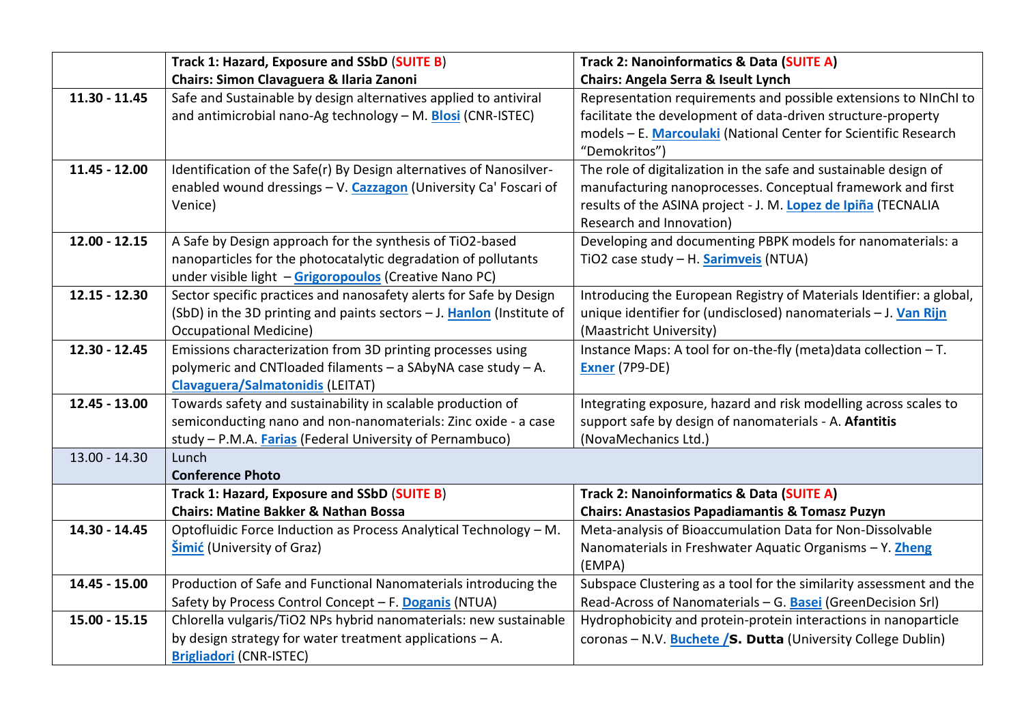|                 | Track 1: Hazard, Exposure and SSbD (SUITE B)                                                                                                                                              | Track 2: Nanoinformatics & Data (SUITE A)                                                                                                                                                                                    |  |
|-----------------|-------------------------------------------------------------------------------------------------------------------------------------------------------------------------------------------|------------------------------------------------------------------------------------------------------------------------------------------------------------------------------------------------------------------------------|--|
|                 | <b>Chairs: Simon Clavaguera &amp; Ilaria Zanoni</b><br><b>Chairs: Angela Serra &amp; Iseult Lynch</b>                                                                                     |                                                                                                                                                                                                                              |  |
| $11.30 - 11.45$ | Safe and Sustainable by design alternatives applied to antiviral<br>and antimicrobial nano-Ag technology - M. Blosi (CNR-ISTEC)                                                           | Representation requirements and possible extensions to NInChI to<br>facilitate the development of data-driven structure-property<br>models - E. Marcoulaki (National Center for Scientific Research<br>"Demokritos")         |  |
| $11.45 - 12.00$ | Identification of the Safe(r) By Design alternatives of Nanosilver-<br>enabled wound dressings - V. Cazzagon (University Ca' Foscari of<br>Venice)                                        | The role of digitalization in the safe and sustainable design of<br>manufacturing nanoprocesses. Conceptual framework and first<br>results of the ASINA project - J. M. Lopez de Ipiña (TECNALIA<br>Research and Innovation) |  |
| $12.00 - 12.15$ | A Safe by Design approach for the synthesis of TiO2-based<br>nanoparticles for the photocatalytic degradation of pollutants<br>under visible light - Grigoropoulos (Creative Nano PC)     | Developing and documenting PBPK models for nanomaterials: a<br>TiO2 case study - H. <b>Sarimveis</b> (NTUA)                                                                                                                  |  |
| 12.15 - 12.30   | Sector specific practices and nanosafety alerts for Safe by Design<br>(SbD) in the 3D printing and paints sectors $-$ J. Hanlon (Institute of<br><b>Occupational Medicine)</b>            | Introducing the European Registry of Materials Identifier: a global,<br>unique identifier for (undisclosed) nanomaterials - J. Van Rijn<br>(Maastricht University)                                                           |  |
| 12.30 - 12.45   | Emissions characterization from 3D printing processes using<br>polymeric and CNTloaded filaments - a SAbyNA case study - A.<br><b>Clavaguera/Salmatonidis (LEITAT)</b>                    | Instance Maps: A tool for on-the-fly (meta)data collection - T.<br>Exner (7P9-DE)                                                                                                                                            |  |
| 12.45 - 13.00   | Towards safety and sustainability in scalable production of<br>semiconducting nano and non-nanomaterials: Zinc oxide - a case<br>study - P.M.A. Farias (Federal University of Pernambuco) | Integrating exposure, hazard and risk modelling across scales to<br>support safe by design of nanomaterials - A. Afantitis<br>(NovaMechanics Ltd.)                                                                           |  |
| $13.00 - 14.30$ | Lunch<br><b>Conference Photo</b>                                                                                                                                                          |                                                                                                                                                                                                                              |  |
|                 | Track 1: Hazard, Exposure and SSbD (SUITE B)<br><b>Chairs: Matine Bakker &amp; Nathan Bossa</b>                                                                                           | Track 2: Nanoinformatics & Data (SUITE A)<br><b>Chairs: Anastasios Papadiamantis &amp; Tomasz Puzyn</b>                                                                                                                      |  |
| 14.30 - 14.45   | Optofluidic Force Induction as Process Analytical Technology - M.<br><b>Šimić</b> (University of Graz)                                                                                    | Meta-analysis of Bioaccumulation Data for Non-Dissolvable<br>Nanomaterials in Freshwater Aquatic Organisms - Y. Zheng<br>(EMPA)                                                                                              |  |
| 14.45 - 15.00   | Production of Safe and Functional Nanomaterials introducing the<br>Safety by Process Control Concept - F. Doganis (NTUA)                                                                  | Subspace Clustering as a tool for the similarity assessment and the<br>Read-Across of Nanomaterials - G. Basei (GreenDecision Srl)                                                                                           |  |
| $15.00 - 15.15$ | Chlorella vulgaris/TiO2 NPs hybrid nanomaterials: new sustainable<br>by design strategy for water treatment applications $-$ A.<br><b>Brigliadori</b> (CNR-ISTEC)                         | Hydrophobicity and protein-protein interactions in nanoparticle<br>coronas - N.V. Buchete / S. Dutta (University College Dublin)                                                                                             |  |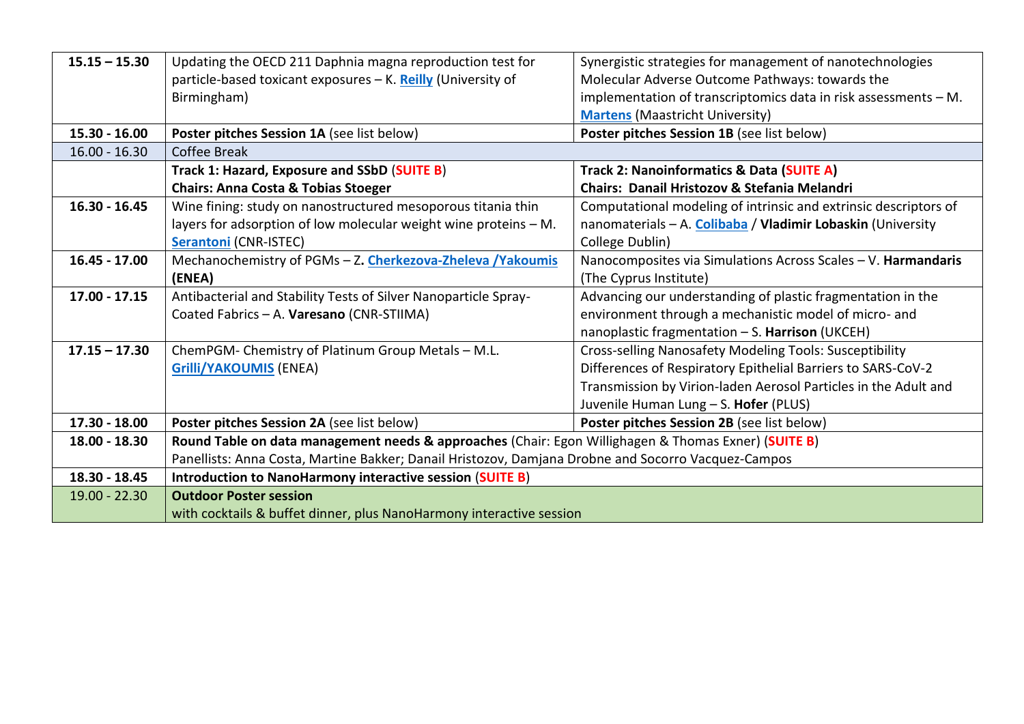| $15.15 - 15.30$ | Updating the OECD 211 Daphnia magna reproduction test for<br>Synergistic strategies for management of nanotechnologies |                                                                    |  |  |
|-----------------|------------------------------------------------------------------------------------------------------------------------|--------------------------------------------------------------------|--|--|
|                 | particle-based toxicant exposures - K. Reilly (University of                                                           | Molecular Adverse Outcome Pathways: towards the                    |  |  |
|                 | Birmingham)                                                                                                            | implementation of transcriptomics data in risk assessments $- M$ . |  |  |
|                 |                                                                                                                        | <b>Martens</b> (Maastricht University)                             |  |  |
| $15.30 - 16.00$ | Poster pitches Session 1A (see list below)                                                                             | Poster pitches Session 1B (see list below)                         |  |  |
| $16.00 - 16.30$ | Coffee Break                                                                                                           |                                                                    |  |  |
|                 | Track 1: Hazard, Exposure and SSbD (SUITE B)                                                                           | Track 2: Nanoinformatics & Data (SUITE A)                          |  |  |
|                 | <b>Chairs: Anna Costa &amp; Tobias Stoeger</b>                                                                         | Chairs: Danail Hristozov & Stefania Melandri                       |  |  |
| $16.30 - 16.45$ | Wine fining: study on nanostructured mesoporous titania thin                                                           | Computational modeling of intrinsic and extrinsic descriptors of   |  |  |
|                 | layers for adsorption of low molecular weight wine proteins - M.                                                       | nanomaterials - A. Colibaba / Vladimir Lobaskin (University        |  |  |
|                 | <b>Serantoni (CNR-ISTEC)</b>                                                                                           | College Dublin)                                                    |  |  |
| 16.45 - 17.00   | Mechanochemistry of PGMs - Z. Cherkezova-Zheleva / Yakoumis                                                            | Nanocomposites via Simulations Across Scales - V. Harmandaris      |  |  |
|                 | (ENEA)                                                                                                                 | (The Cyprus Institute)                                             |  |  |
| $17.00 - 17.15$ | Antibacterial and Stability Tests of Silver Nanoparticle Spray-                                                        | Advancing our understanding of plastic fragmentation in the        |  |  |
|                 | Coated Fabrics - A. Varesano (CNR-STIIMA)                                                                              | environment through a mechanistic model of micro- and              |  |  |
|                 |                                                                                                                        | nanoplastic fragmentation - S. Harrison (UKCEH)                    |  |  |
| $17.15 - 17.30$ | ChemPGM-Chemistry of Platinum Group Metals - M.L.                                                                      | Cross-selling Nanosafety Modeling Tools: Susceptibility            |  |  |
|                 | <b>Grilli/YAKOUMIS (ENEA)</b><br>Differences of Respiratory Epithelial Barriers to SARS-CoV-2                          |                                                                    |  |  |
|                 |                                                                                                                        | Transmission by Virion-laden Aerosol Particles in the Adult and    |  |  |
|                 |                                                                                                                        | Juvenile Human Lung - S. Hofer (PLUS)                              |  |  |
| 17.30 - 18.00   | Poster pitches Session 2A (see list below)                                                                             | Poster pitches Session 2B (see list below)                         |  |  |
| 18.00 - 18.30   | Round Table on data management needs & approaches (Chair: Egon Willighagen & Thomas Exner) (SUITE B)                   |                                                                    |  |  |
|                 | Panellists: Anna Costa, Martine Bakker; Danail Hristozov, Damjana Drobne and Socorro Vacquez-Campos                    |                                                                    |  |  |
| 18.30 - 18.45   | Introduction to NanoHarmony interactive session (SUITE B)                                                              |                                                                    |  |  |
| $19.00 - 22.30$ | <b>Outdoor Poster session</b>                                                                                          |                                                                    |  |  |
|                 | with cocktails & buffet dinner, plus NanoHarmony interactive session                                                   |                                                                    |  |  |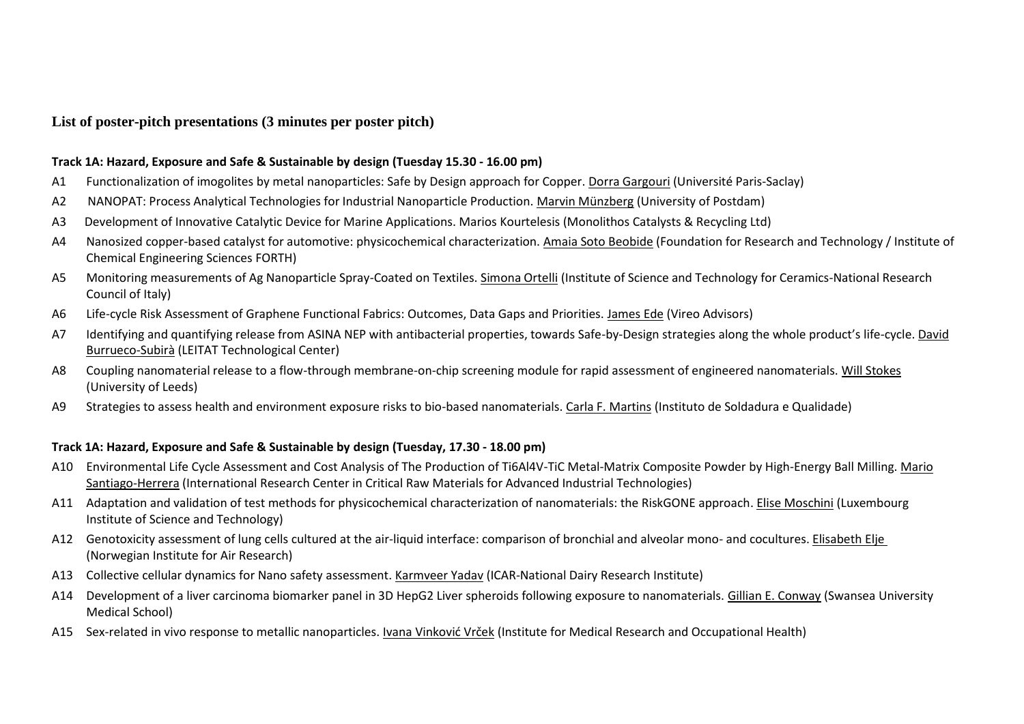### **List of poster-pitch presentations (3 minutes per poster pitch)**

#### **Track 1A: Hazard, Exposure and Safe & Sustainable by design (Tuesday 15.30 - 16.00 pm)**

- A1 Functionalization of imogolites by metal nanoparticles: Safe by Design approach for Copper. Dorra Gargouri (Université Paris-Saclay)
- A2 NANOPAT: Process Analytical Technologies for Industrial Nanoparticle Production. Marvin Münzberg (University of Postdam)
- A3 Development of Innovative Catalytic Device for Marine Applications. Marios Kourtelesis (Monolithos Catalysts & Recycling Ltd)
- A4 Nanosized copper-based catalyst for automotive: physicochemical characterization. Amaia Soto Beobide (Foundation for Research and Technology / Institute of Chemical Engineering Sciences FORTH)
- A5 Monitoring measurements of Ag Nanoparticle Spray-Coated on Textiles. Simona Ortelli (Institute of Science and Technology for Ceramics-National Research Council of Italy)
- A6 Life-cycle Risk Assessment of Graphene Functional Fabrics: Outcomes, Data Gaps and Priorities. James Ede (Vireo Advisors)
- A7 Identifying and quantifying release from ASINA NEP with antibacterial properties, towards Safe-by-Design strategies along the whole product's life-cycle. David Burrueco-Subirà (LEITAT Technological Center)
- A8 Coupling nanomaterial release to a flow-through membrane-on-chip screening module for rapid assessment of engineered nanomaterials. Will Stokes (University of Leeds)
- A9 Strategies to assess health and environment exposure risks to bio-based nanomaterials. Carla F. Martins (Instituto de Soldadura e Qualidade)

#### **Track 1A: Hazard, Exposure and Safe & Sustainable by design (Tuesday, 17.30 - 18.00 pm)**

- A10 Environmental Life Cycle Assessment and Cost Analysis of The Production of Ti6Al4V-TiC Metal-Matrix Composite Powder by High-Energy Ball Milling. Mario Santiago-Herrera (International Research Center in Critical Raw Materials for Advanced Industrial Technologies)
- A11 Adaptation and validation of test methods for physicochemical characterization of nanomaterials: the RiskGONE approach. Elise Moschini (Luxembourg Institute of Science and Technology)
- A12 Genotoxicity assessment of lung cells cultured at the air-liquid interface: comparison of bronchial and alveolar mono- and cocultures. Elisabeth Elje (Norwegian Institute for Air Research)
- A13 Collective cellular dynamics for Nano safety assessment. Karmveer Yadav (ICAR-National Dairy Research Institute)
- A14 Development of a liver carcinoma biomarker panel in 3D HepG2 Liver spheroids following exposure to nanomaterials. Gillian E. Conway (Swansea University Medical School)
- A15 Sex-related in vivo response to metallic nanoparticles. Ivana Vinković Vrček (Institute for Medical Research and Occupational Health)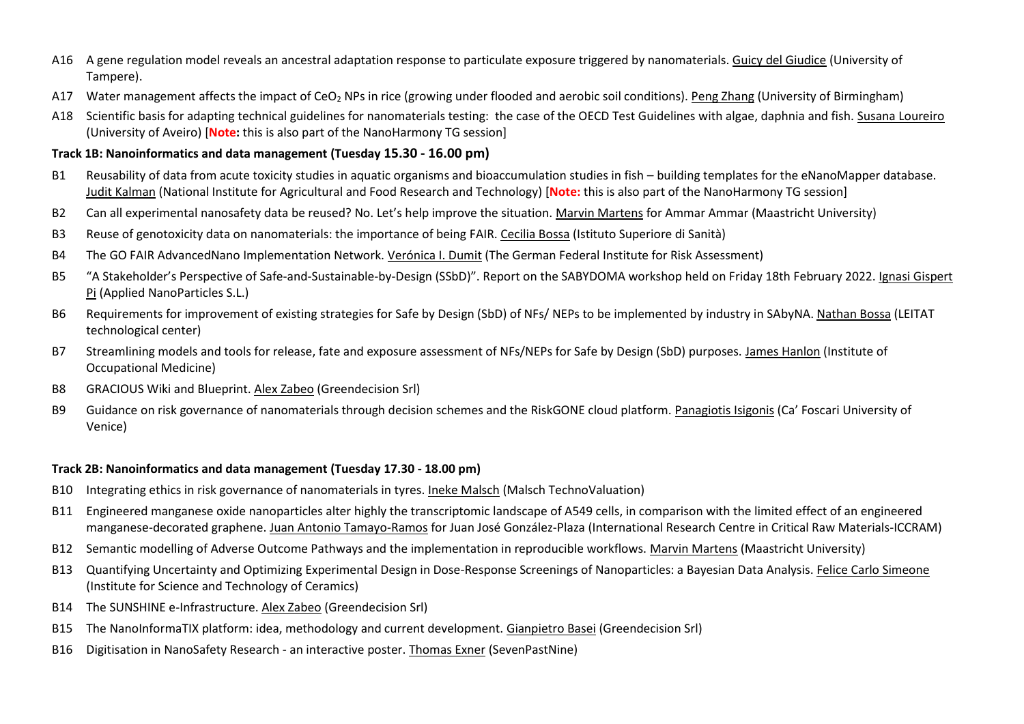- A16 A gene regulation model reveals an ancestral adaptation response to particulate exposure triggered by nanomaterials. Guicy del Giudice (University of Tampere).
- A17 Water management affects the impact of CeO<sub>2</sub> NPs in rice (growing under flooded and aerobic soil conditions). Peng Zhang (University of Birmingham)
- A18 Scientific basis for adapting technical guidelines for nanomaterials testing: the case of the OECD Test Guidelines with algae, daphnia and fish. Susana Loureiro (University of Aveiro) [**Note:** this is also part of the NanoHarmony TG session]

#### **Track 1B: Nanoinformatics and data management (Tuesday 15.30 - 16.00 pm)**

- B1 Reusability of data from acute toxicity studies in aquatic organisms and bioaccumulation studies in fish building templates for the eNanoMapper database. Judit Kalman (National Institute for Agricultural and Food Research and Technology) [**Note:** this is also part of the NanoHarmony TG session]
- B2 Can all experimental nanosafety data be reused? No. Let's help improve the situation. Marvin Martens for Ammar Ammar (Maastricht University)
- B3 Reuse of genotoxicity data on nanomaterials: the importance of being FAIR. Cecilia Bossa (Istituto Superiore di Sanità)
- B4 The GO FAIR AdvancedNano Implementation Network. Verónica I. Dumit (The German Federal Institute for Risk Assessment)
- B5 "A Stakeholder's Perspective of Safe-and-Sustainable-by-Design (SSbD)". Report on the SABYDOMA workshop held on Friday 18th February 2022. Ignasi Gispert Pi (Applied NanoParticles S.L.)
- B6 Requirements for improvement of existing strategies for Safe by Design (SbD) of NFs/ NEPs to be implemented by industry in SAbyNA. Nathan Bossa (LEITAT technological center)
- B7 Streamlining models and tools for release, fate and exposure assessment of NFs/NEPs for Safe by Design (SbD) purposes. James Hanlon (Institute of Occupational Medicine)
- B8 GRACIOUS Wiki and Blueprint. Alex Zabeo (Greendecision Srl)
- B9 Guidance on risk governance of nanomaterials through decision schemes and the RiskGONE cloud platform. Panagiotis Isigonis (Ca' Foscari University of Venice)

#### **Track 2B: Nanoinformatics and data management (Tuesday 17.30 - 18.00 pm)**

- B10 Integrating ethics in risk governance of nanomaterials in tyres. Ineke Malsch (Malsch TechnoValuation)
- B11 Engineered manganese oxide nanoparticles alter highly the transcriptomic landscape of A549 cells, in comparison with the limited effect of an engineered manganese-decorated graphene. Juan Antonio Tamayo-Ramos for Juan José González-Plaza (International Research Centre in Critical Raw Materials-ICCRAM)
- B12 Semantic modelling of Adverse Outcome Pathways and the implementation in reproducible workflows. Marvin Martens (Maastricht University)
- B13 Quantifying Uncertainty and Optimizing Experimental Design in Dose-Response Screenings of Nanoparticles: a Bayesian Data Analysis. Felice Carlo Simeone (Institute for Science and Technology of Ceramics)
- B14 The SUNSHINE e-Infrastructure. Alex Zabeo (Greendecision Srl)
- B15 The NanoInformaTIX platform: idea, methodology and current development. Gianpietro Basei (Greendecision Srl)
- B16 Digitisation in NanoSafety Research an interactive poster. Thomas Exner (SevenPastNine)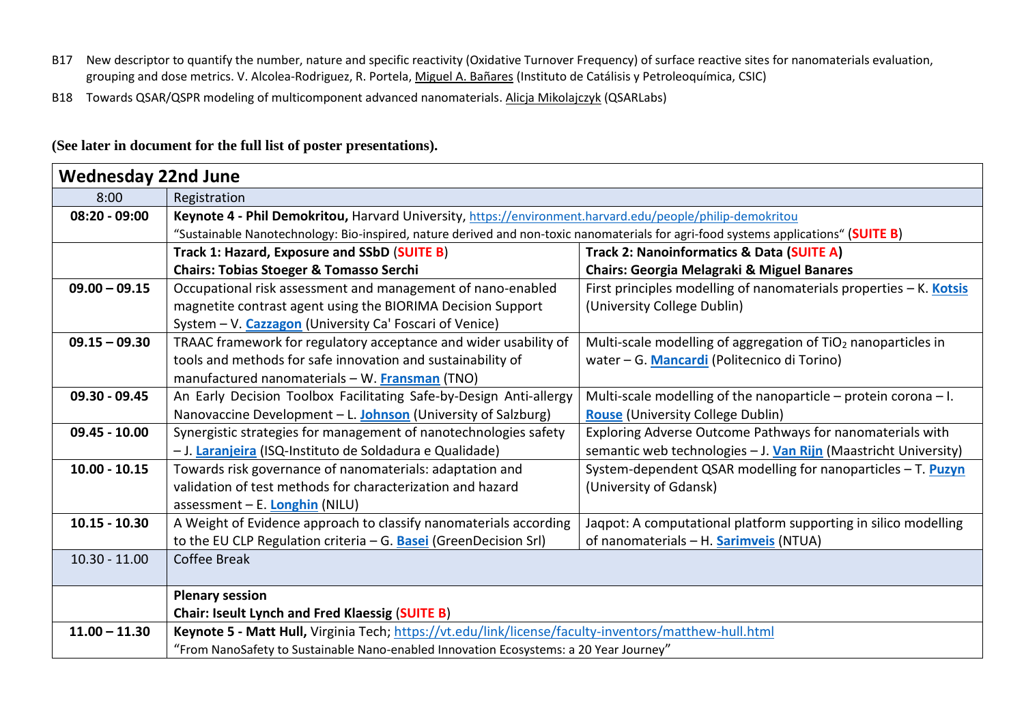- B17 New descriptor to quantify the number, nature and specific reactivity (Oxidative Turnover Frequency) of surface reactive sites for nanomaterials evaluation, grouping and dose metrics. V. Alcolea-Rodriguez, R. Portela, Miguel A. Bañares (Instituto de Catálisis y Petroleoquímica, CSIC)
- B18 Towards QSAR/QSPR modeling of multicomponent advanced nanomaterials. Alicja Mikolajczyk (QSARLabs)

# **(See later in document for the full list of poster presentations).**

| <b>Wednesday 22nd June</b> |                                                                                                                                     |                                                                           |  |  |
|----------------------------|-------------------------------------------------------------------------------------------------------------------------------------|---------------------------------------------------------------------------|--|--|
| 8:00                       | Registration                                                                                                                        |                                                                           |  |  |
| $08:20 - 09:00$            | Keynote 4 - Phil Demokritou, Harvard University, https://environment.harvard.edu/people/philip-demokritou                           |                                                                           |  |  |
|                            | "Sustainable Nanotechnology: Bio-inspired, nature derived and non-toxic nanomaterials for agri-food systems applications" (SUITE B) |                                                                           |  |  |
|                            | Track 1: Hazard, Exposure and SSbD (SUITE B)                                                                                        | Track 2: Nanoinformatics & Data (SUITE A)                                 |  |  |
|                            | <b>Chairs: Tobias Stoeger &amp; Tomasso Serchi</b>                                                                                  | <b>Chairs: Georgia Melagraki &amp; Miguel Banares</b>                     |  |  |
| $09.00 - 09.15$            | Occupational risk assessment and management of nano-enabled                                                                         | First principles modelling of nanomaterials properties - K. Kotsis        |  |  |
|                            | magnetite contrast agent using the BIORIMA Decision Support                                                                         | (University College Dublin)                                               |  |  |
|                            | System - V. Cazzagon (University Ca' Foscari of Venice)                                                                             |                                                                           |  |  |
| $09.15 - 09.30$            | TRAAC framework for regulatory acceptance and wider usability of                                                                    | Multi-scale modelling of aggregation of TiO <sub>2</sub> nanoparticles in |  |  |
|                            | tools and methods for safe innovation and sustainability of                                                                         | water - G. Mancardi (Politecnico di Torino)                               |  |  |
|                            | manufactured nanomaterials - W. Fransman (TNO)                                                                                      |                                                                           |  |  |
| 09.30 - 09.45              | An Early Decision Toolbox Facilitating Safe-by-Design Anti-allergy                                                                  | Multi-scale modelling of the nanoparticle – protein corona – I.           |  |  |
|                            | Nanovaccine Development - L. Johnson (University of Salzburg)                                                                       | <b>Rouse</b> (University College Dublin)                                  |  |  |
| $09.45 - 10.00$            | Synergistic strategies for management of nanotechnologies safety                                                                    | Exploring Adverse Outcome Pathways for nanomaterials with                 |  |  |
|                            | - J. Laranjeira (ISQ-Instituto de Soldadura e Qualidade)                                                                            | semantic web technologies - J. Van Rijn (Maastricht University)           |  |  |
| $10.00 - 10.15$            | Towards risk governance of nanomaterials: adaptation and                                                                            | System-dependent QSAR modelling for nanoparticles - T. Puzyn              |  |  |
|                            | validation of test methods for characterization and hazard                                                                          | (University of Gdansk)                                                    |  |  |
|                            | assessment - E. Longhin (NILU)                                                                                                      |                                                                           |  |  |
| $10.15 - 10.30$            | A Weight of Evidence approach to classify nanomaterials according                                                                   | Jaqpot: A computational platform supporting in silico modelling           |  |  |
|                            | to the EU CLP Regulation criteria $-$ G. <b>Basei</b> (Green Decision Srl)                                                          | of nanomaterials - H. <b>Sarimveis</b> (NTUA)                             |  |  |
| $10.30 - 11.00$            | <b>Coffee Break</b>                                                                                                                 |                                                                           |  |  |
|                            |                                                                                                                                     |                                                                           |  |  |
|                            | <b>Plenary session</b>                                                                                                              |                                                                           |  |  |
|                            | <b>Chair: Iseult Lynch and Fred Klaessig (SUITE B)</b>                                                                              |                                                                           |  |  |
| $11.00 - 11.30$            | Keynote 5 - Matt Hull, Virginia Tech; https://vt.edu/link/license/faculty-inventors/matthew-hull.html                               |                                                                           |  |  |
|                            | "From NanoSafety to Sustainable Nano-enabled Innovation Ecosystems: a 20 Year Journey"                                              |                                                                           |  |  |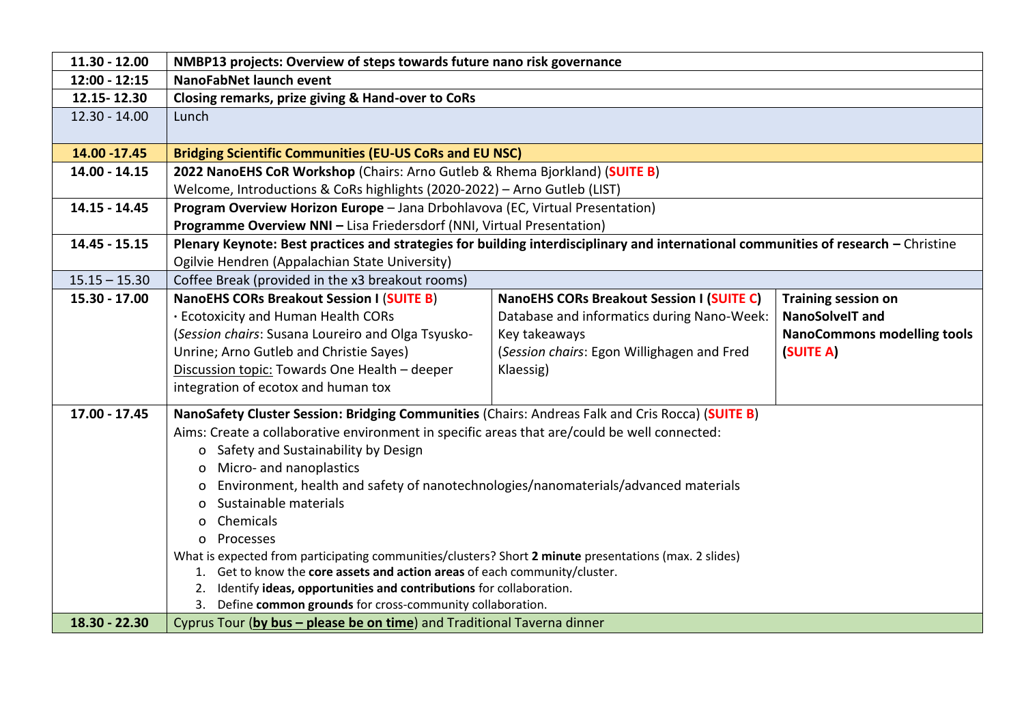| 11.30 - 12.00   | NMBP13 projects: Overview of steps towards future nano risk governance                                                             |                                                                                                                                     |  |  |  |
|-----------------|------------------------------------------------------------------------------------------------------------------------------------|-------------------------------------------------------------------------------------------------------------------------------------|--|--|--|
| $12:00 - 12:15$ | NanoFabNet launch event                                                                                                            |                                                                                                                                     |  |  |  |
| 12.15-12.30     | Closing remarks, prize giving & Hand-over to CoRs                                                                                  |                                                                                                                                     |  |  |  |
| $12.30 - 14.00$ | Lunch                                                                                                                              |                                                                                                                                     |  |  |  |
|                 |                                                                                                                                    |                                                                                                                                     |  |  |  |
| 14.00 - 17.45   | <b>Bridging Scientific Communities (EU-US CoRs and EU NSC)</b>                                                                     |                                                                                                                                     |  |  |  |
| 14.00 - 14.15   | 2022 NanoEHS CoR Workshop (Chairs: Arno Gutleb & Rhema Bjorkland) (SUITE B)                                                        |                                                                                                                                     |  |  |  |
|                 | Welcome, Introductions & CoRs highlights (2020-2022) - Arno Gutleb (LIST)                                                          |                                                                                                                                     |  |  |  |
| 14.15 - 14.45   | Program Overview Horizon Europe - Jana Drbohlavova (EC, Virtual Presentation)                                                      |                                                                                                                                     |  |  |  |
|                 | Programme Overview NNI - Lisa Friedersdorf (NNI, Virtual Presentation)                                                             |                                                                                                                                     |  |  |  |
| 14.45 - 15.15   |                                                                                                                                    | Plenary Keynote: Best practices and strategies for building interdisciplinary and international communities of research - Christine |  |  |  |
|                 | Ogilvie Hendren (Appalachian State University)                                                                                     |                                                                                                                                     |  |  |  |
| $15.15 - 15.30$ | Coffee Break (provided in the x3 breakout rooms)                                                                                   |                                                                                                                                     |  |  |  |
| 15.30 - 17.00   | <b>NanoEHS CORs Breakout Session I (SUITE B)</b><br><b>NanoEHS CORs Breakout Session I (SUITE C)</b><br><b>Training session on</b> |                                                                                                                                     |  |  |  |
|                 | · Ecotoxicity and Human Health CORs<br>Database and informatics during Nano-Week:<br><b>NanoSolveIT and</b>                        |                                                                                                                                     |  |  |  |
|                 | (Session chairs: Susana Loureiro and Olga Tsyusko-<br>Key takeaways<br><b>NanoCommons modelling tools</b>                          |                                                                                                                                     |  |  |  |
|                 | Unrine; Arno Gutleb and Christie Sayes)<br>(Session chairs: Egon Willighagen and Fred<br>(SUITE A)                                 |                                                                                                                                     |  |  |  |
|                 | Discussion topic: Towards One Health - deeper<br>Klaessig)                                                                         |                                                                                                                                     |  |  |  |
|                 | integration of ecotox and human tox                                                                                                |                                                                                                                                     |  |  |  |
| $17.00 - 17.45$ | NanoSafety Cluster Session: Bridging Communities (Chairs: Andreas Falk and Cris Rocca) (SUITE B)                                   |                                                                                                                                     |  |  |  |
|                 | Aims: Create a collaborative environment in specific areas that are/could be well connected:                                       |                                                                                                                                     |  |  |  |
|                 | o Safety and Sustainability by Design                                                                                              |                                                                                                                                     |  |  |  |
|                 | o Micro- and nanoplastics                                                                                                          |                                                                                                                                     |  |  |  |
|                 | Environment, health and safety of nanotechnologies/nanomaterials/advanced materials                                                |                                                                                                                                     |  |  |  |
|                 | Sustainable materials                                                                                                              |                                                                                                                                     |  |  |  |
|                 | Chemicals<br>$\Omega$                                                                                                              |                                                                                                                                     |  |  |  |
|                 | o Processes                                                                                                                        |                                                                                                                                     |  |  |  |
|                 | What is expected from participating communities/clusters? Short 2 minute presentations (max. 2 slides)                             |                                                                                                                                     |  |  |  |
|                 | 1. Get to know the core assets and action areas of each community/cluster.                                                         |                                                                                                                                     |  |  |  |
|                 | 2. Identify ideas, opportunities and contributions for collaboration.                                                              |                                                                                                                                     |  |  |  |
|                 | 3. Define common grounds for cross-community collaboration.                                                                        |                                                                                                                                     |  |  |  |
| 18.30 - 22.30   | Cyprus Tour (by bus - please be on time) and Traditional Taverna dinner                                                            |                                                                                                                                     |  |  |  |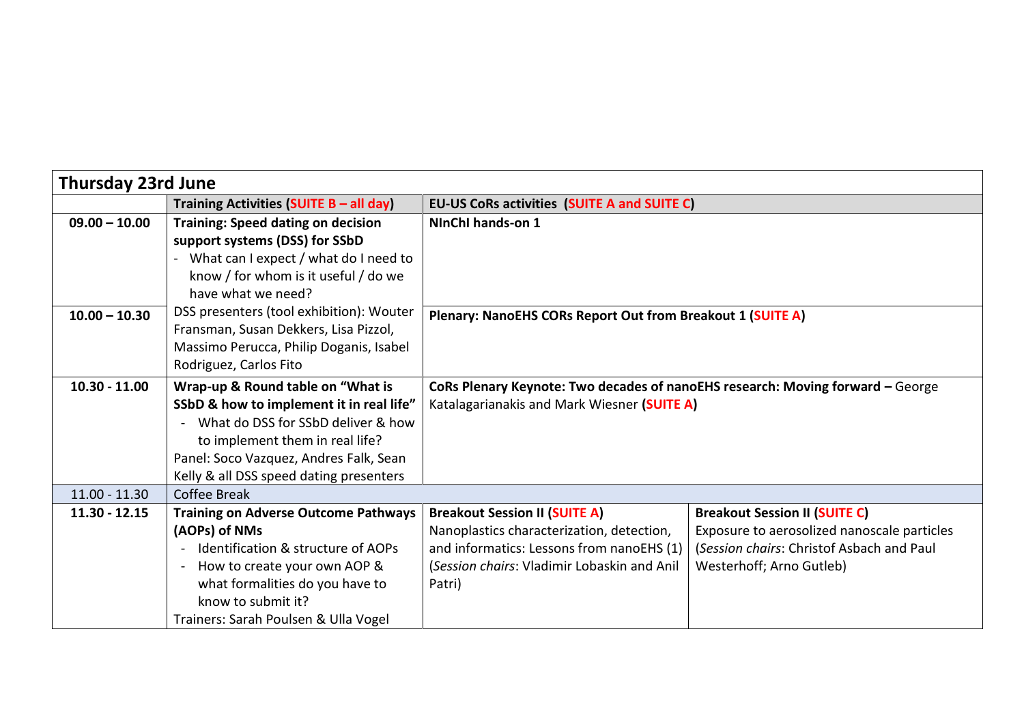| <b>Thursday 23rd June</b> |                                                                   |                                                                                |                                             |  |
|---------------------------|-------------------------------------------------------------------|--------------------------------------------------------------------------------|---------------------------------------------|--|
|                           | Training Activities (SUITE B - all day)                           | <b>EU-US CoRs activities (SUITE A and SUITE C)</b>                             |                                             |  |
| $09.00 - 10.00$           | <b>Training: Speed dating on decision</b>                         | NInChI hands-on 1                                                              |                                             |  |
|                           | support systems (DSS) for SSbD                                    |                                                                                |                                             |  |
|                           | What can I expect / what do I need to                             |                                                                                |                                             |  |
|                           | know / for whom is it useful / do we                              |                                                                                |                                             |  |
|                           | have what we need?                                                |                                                                                |                                             |  |
| $10.00 - 10.30$           | DSS presenters (tool exhibition): Wouter                          | Plenary: NanoEHS CORs Report Out from Breakout 1 (SUITE A)                     |                                             |  |
|                           | Fransman, Susan Dekkers, Lisa Pizzol,                             |                                                                                |                                             |  |
|                           | Massimo Perucca, Philip Doganis, Isabel<br>Rodriguez, Carlos Fito |                                                                                |                                             |  |
|                           |                                                                   |                                                                                |                                             |  |
| $10.30 - 11.00$           | Wrap-up & Round table on "What is                                 | CoRs Plenary Keynote: Two decades of nanoEHS research: Moving forward - George |                                             |  |
|                           | SSbD & how to implement it in real life"                          | Katalagarianakis and Mark Wiesner (SUITE A)                                    |                                             |  |
|                           | What do DSS for SSbD deliver & how                                |                                                                                |                                             |  |
|                           | to implement them in real life?                                   |                                                                                |                                             |  |
|                           | Panel: Soco Vazquez, Andres Falk, Sean                            |                                                                                |                                             |  |
|                           | Kelly & all DSS speed dating presenters                           |                                                                                |                                             |  |
| $11.00 - 11.30$           | Coffee Break                                                      |                                                                                |                                             |  |
| $11.30 - 12.15$           | <b>Training on Adverse Outcome Pathways</b>                       | <b>Breakout Session II (SUITE A)</b>                                           | <b>Breakout Session II (SUITE C)</b>        |  |
|                           | (AOPs) of NMs                                                     | Nanoplastics characterization, detection,                                      | Exposure to aerosolized nanoscale particles |  |
|                           | Identification & structure of AOPs<br>$\blacksquare$              | and informatics: Lessons from nanoEHS (1)                                      | (Session chairs: Christof Asbach and Paul   |  |
|                           | How to create your own AOP &<br>$\sim$                            | (Session chairs: Vladimir Lobaskin and Anil                                    | Westerhoff; Arno Gutleb)                    |  |
|                           | what formalities do you have to                                   | Patri)                                                                         |                                             |  |
|                           | know to submit it?                                                |                                                                                |                                             |  |
|                           | Trainers: Sarah Poulsen & Ulla Vogel                              |                                                                                |                                             |  |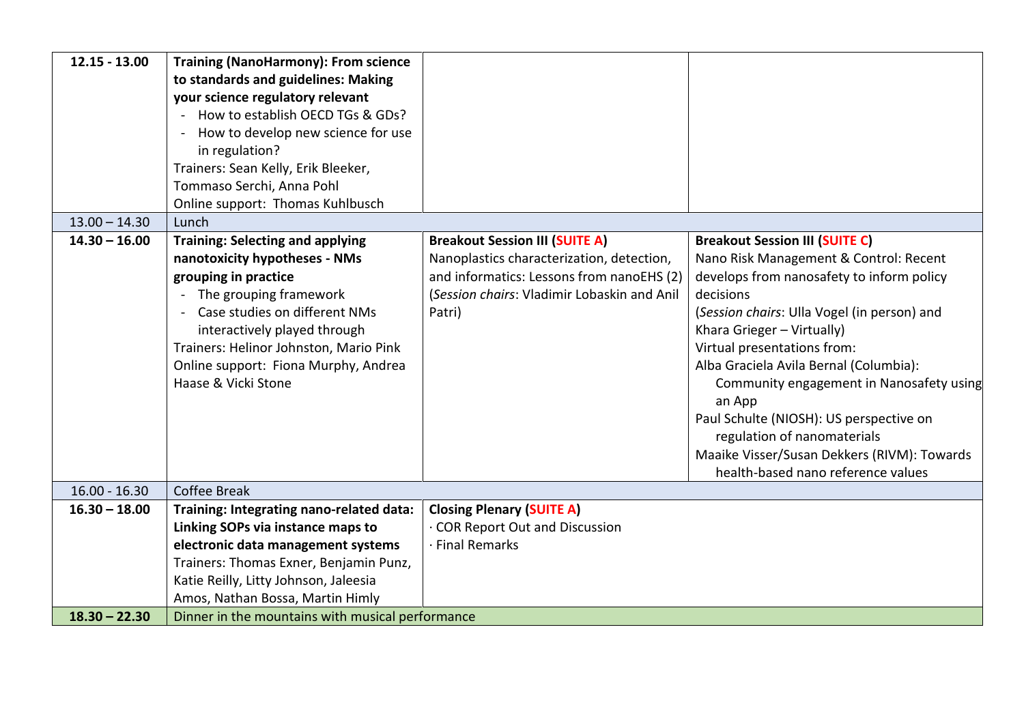| $12.15 - 13.00$ | <b>Training (NanoHarmony): From science</b>        |                                             |                                             |
|-----------------|----------------------------------------------------|---------------------------------------------|---------------------------------------------|
|                 | to standards and guidelines: Making                |                                             |                                             |
|                 | your science regulatory relevant                   |                                             |                                             |
|                 | How to establish OECD TGs & GDs?<br>$\blacksquare$ |                                             |                                             |
|                 | How to develop new science for use                 |                                             |                                             |
|                 | in regulation?                                     |                                             |                                             |
|                 | Trainers: Sean Kelly, Erik Bleeker,                |                                             |                                             |
|                 | Tommaso Serchi, Anna Pohl                          |                                             |                                             |
|                 | Online support: Thomas Kuhlbusch                   |                                             |                                             |
| $13.00 - 14.30$ | Lunch                                              |                                             |                                             |
| $14.30 - 16.00$ | <b>Training: Selecting and applying</b>            | <b>Breakout Session III (SUITE A)</b>       | <b>Breakout Session III (SUITE C)</b>       |
|                 | nanotoxicity hypotheses - NMs                      | Nanoplastics characterization, detection,   | Nano Risk Management & Control: Recent      |
|                 | grouping in practice                               | and informatics: Lessons from nanoEHS (2)   | develops from nanosafety to inform policy   |
|                 | The grouping framework                             | (Session chairs: Vladimir Lobaskin and Anil | decisions                                   |
|                 | Case studies on different NMs                      | Patri)                                      | (Session chairs: Ulla Vogel (in person) and |
|                 | interactively played through                       |                                             | Khara Grieger - Virtually)                  |
|                 | Trainers: Helinor Johnston, Mario Pink             |                                             | Virtual presentations from:                 |
|                 | Online support: Fiona Murphy, Andrea               |                                             | Alba Graciela Avila Bernal (Columbia):      |
|                 | Haase & Vicki Stone                                |                                             | Community engagement in Nanosafety using    |
|                 |                                                    |                                             | an App                                      |
|                 |                                                    |                                             | Paul Schulte (NIOSH): US perspective on     |
|                 |                                                    |                                             | regulation of nanomaterials                 |
|                 |                                                    |                                             | Maaike Visser/Susan Dekkers (RIVM): Towards |
|                 |                                                    |                                             | health-based nano reference values          |
| $16.00 - 16.30$ | Coffee Break                                       |                                             |                                             |
| $16.30 - 18.00$ | Training: Integrating nano-related data:           | <b>Closing Plenary (SUITE A)</b>            |                                             |
|                 | Linking SOPs via instance maps to                  | · COR Report Out and Discussion             |                                             |
|                 | electronic data management systems                 | · Final Remarks                             |                                             |
|                 | Trainers: Thomas Exner, Benjamin Punz,             |                                             |                                             |
|                 | Katie Reilly, Litty Johnson, Jaleesia              |                                             |                                             |
|                 | Amos, Nathan Bossa, Martin Himly                   |                                             |                                             |
| $18.30 - 22.30$ | Dinner in the mountains with musical performance   |                                             |                                             |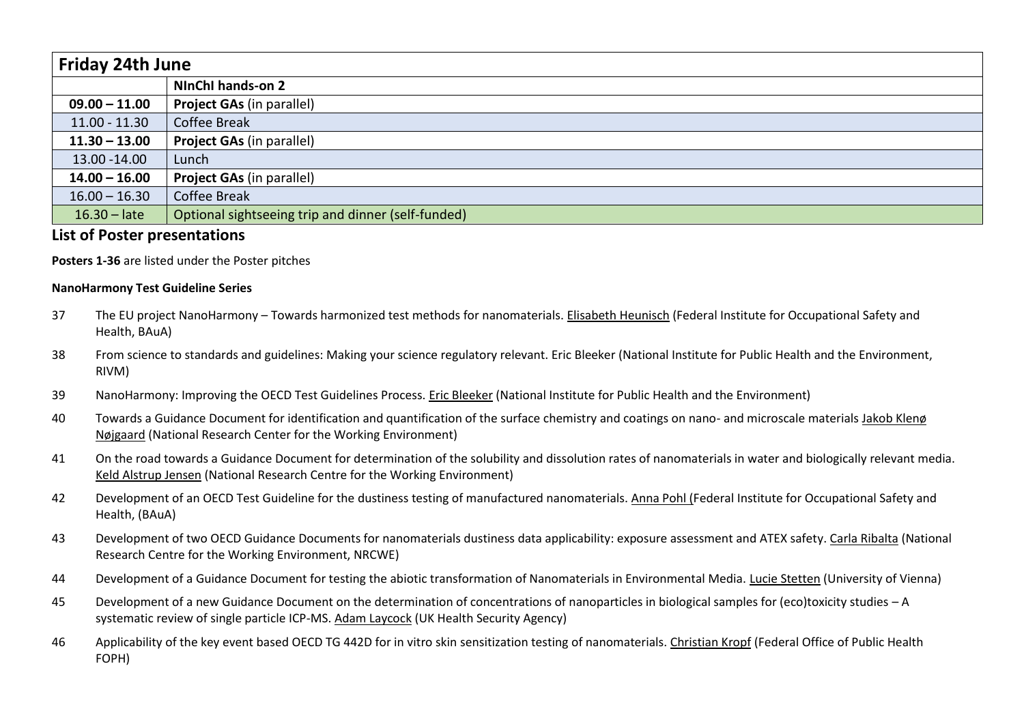| <b>Friday 24th June</b> |                                                    |
|-------------------------|----------------------------------------------------|
|                         | NInChI hands-on 2                                  |
| $09.00 - 11.00$         | <b>Project GAs (in parallel)</b>                   |
| $11.00 - 11.30$         | <b>Coffee Break</b>                                |
| $11.30 - 13.00$         | <b>Project GAs (in parallel)</b>                   |
| 13.00 - 14.00           | Lunch                                              |
| $14.00 - 16.00$         | <b>Project GAs (in parallel)</b>                   |
| $16.00 - 16.30$         | <b>Coffee Break</b>                                |
| $16.30 - late$          | Optional sightseeing trip and dinner (self-funded) |

# **List of Poster presentations**

**Posters 1-36** are listed under the Poster pitches

#### **NanoHarmony Test Guideline Series**

- 37 The EU project NanoHarmony Towards harmonized test methods for nanomaterials. Elisabeth Heunisch (Federal Institute for Occupational Safety and Health, BAuA)
- 38 From science to standards and guidelines: Making your science regulatory relevant. Eric Bleeker (National Institute for Public Health and the Environment, RIVM)
- 39 NanoHarmony: Improving the OECD Test Guidelines Process. Eric Bleeker (National Institute for Public Health and the Environment)
- 40 Towards a Guidance Document for identification and quantification of the surface chemistry and coatings on nano- and microscale materials Jakob Klenø Nøjgaard (National Research Center for the Working Environment)
- 41 On the road towards a Guidance Document for determination of the solubility and dissolution rates of nanomaterials in water and biologically relevant media. Keld Alstrup Jensen (National Research Centre for the Working Environment)
- 42 Development of an OECD Test Guideline for the dustiness testing of manufactured nanomaterials. Anna Pohl (Federal Institute for Occupational Safety and Health, (BAuA)
- 43 Development of two OECD Guidance Documents for nanomaterials dustiness data applicability: exposure assessment and ATEX safety. Carla Ribalta (National Research Centre for the Working Environment, NRCWE)
- 44 Development of a Guidance Document for testing the abiotic transformation of Nanomaterials in Environmental Media. Lucie Stetten (University of Vienna)
- 45 Development of a new Guidance Document on the determination of concentrations of nanoparticles in biological samples for (eco)toxicity studies A systematic review of single particle ICP-MS. Adam Laycock (UK Health Security Agency)
- 46 Applicability of the key event based OECD TG 442D for in vitro skin sensitization testing of nanomaterials. Christian Kropf (Federal Office of Public Health FOPH)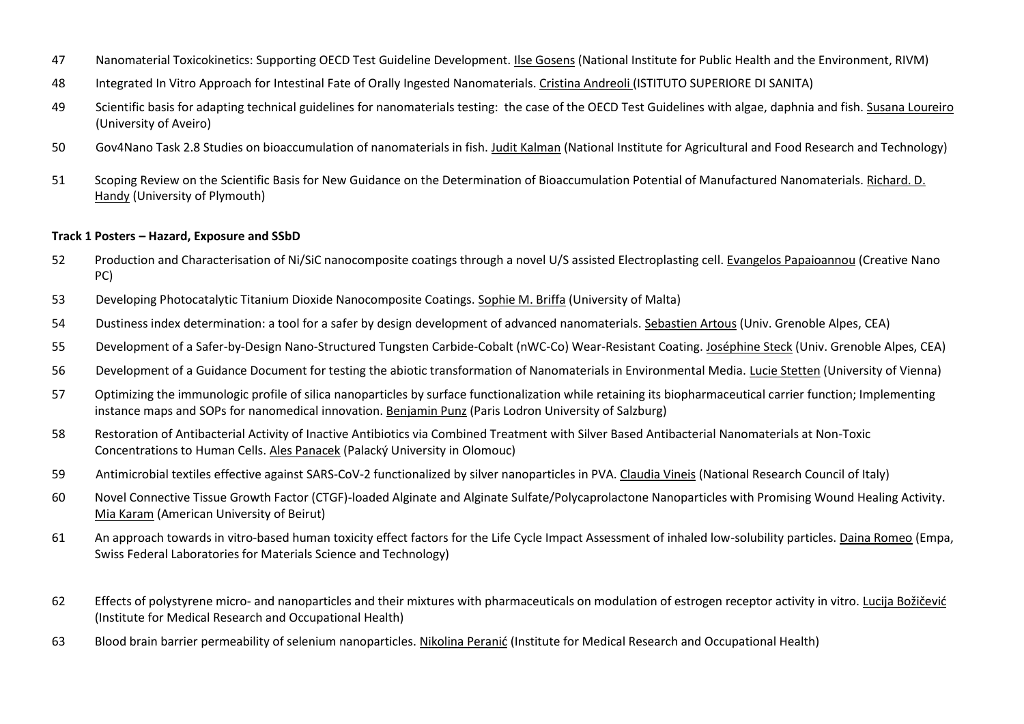- Nanomaterial Toxicokinetics: Supporting OECD Test Guideline Development. Ilse Gosens (National Institute for Public Health and the Environment, RIVM)
- Integrated In Vitro Approach for Intestinal Fate of Orally Ingested Nanomaterials. Cristina Andreoli (ISTITUTO SUPERIORE DI SANITA)
- Scientific basis for adapting technical guidelines for nanomaterials testing: the case of the OECD Test Guidelines with algae, daphnia and fish. Susana Loureiro (University of Aveiro)
- Gov4Nano Task 2.8 Studies on bioaccumulation of nanomaterials in fish. Judit Kalman (National Institute for Agricultural and Food Research and Technology)
- Scoping Review on the Scientific Basis for New Guidance on the Determination of Bioaccumulation Potential of Manufactured Nanomaterials. Richard. D. Handy (University of Plymouth)

#### **Track 1 Posters – Hazard, Exposure and SSbD**

- Production and Characterisation of Ni/SiC nanocomposite coatings through a novel U/S assisted Electroplasting cell. Evangelos Papaioannou (Creative Nano PC)
- Developing Photocatalytic Titanium Dioxide Nanocomposite Coatings. Sophie M. Briffa (University of Malta)
- Dustiness index determination: a tool for a safer by design development of advanced nanomaterials. Sebastien Artous (Univ. Grenoble Alpes, CEA)
- Development of a Safer-by-Design Nano-Structured Tungsten Carbide-Cobalt (nWC-Co) Wear-Resistant Coating. Joséphine Steck (Univ. Grenoble Alpes, CEA)
- Development of a Guidance Document for testing the abiotic transformation of Nanomaterials in Environmental Media. Lucie Stetten (University of Vienna)
- Optimizing the immunologic profile of silica nanoparticles by surface functionalization while retaining its biopharmaceutical carrier function; Implementing instance maps and SOPs for nanomedical innovation. Benjamin Punz (Paris Lodron University of Salzburg)
- Restoration of Antibacterial Activity of Inactive Antibiotics via Combined Treatment with Silver Based Antibacterial Nanomaterials at Non-Toxic Concentrations to Human Cells. Ales Panacek (Palacký University in Olomouc)
- Antimicrobial textiles effective against SARS-CoV-2 functionalized by silver nanoparticles in PVA. Claudia Vineis (National Research Council of Italy)
- Novel Connective Tissue Growth Factor (CTGF)-loaded Alginate and Alginate Sulfate/Polycaprolactone Nanoparticles with Promising Wound Healing Activity. Mia Karam (American University of Beirut)
- An approach towards in vitro-based human toxicity effect factors for the Life Cycle Impact Assessment of inhaled low-solubility particles. Daina Romeo (Empa, Swiss Federal Laboratories for Materials Science and Technology)
- Effects of polystyrene micro- and nanoparticles and their mixtures with pharmaceuticals on modulation of estrogen receptor activity in vitro. Lucija Božičević (Institute for Medical Research and Occupational Health)
- Blood brain barrier permeability of selenium nanoparticles. Nikolina Peranić (Institute for Medical Research and Occupational Health)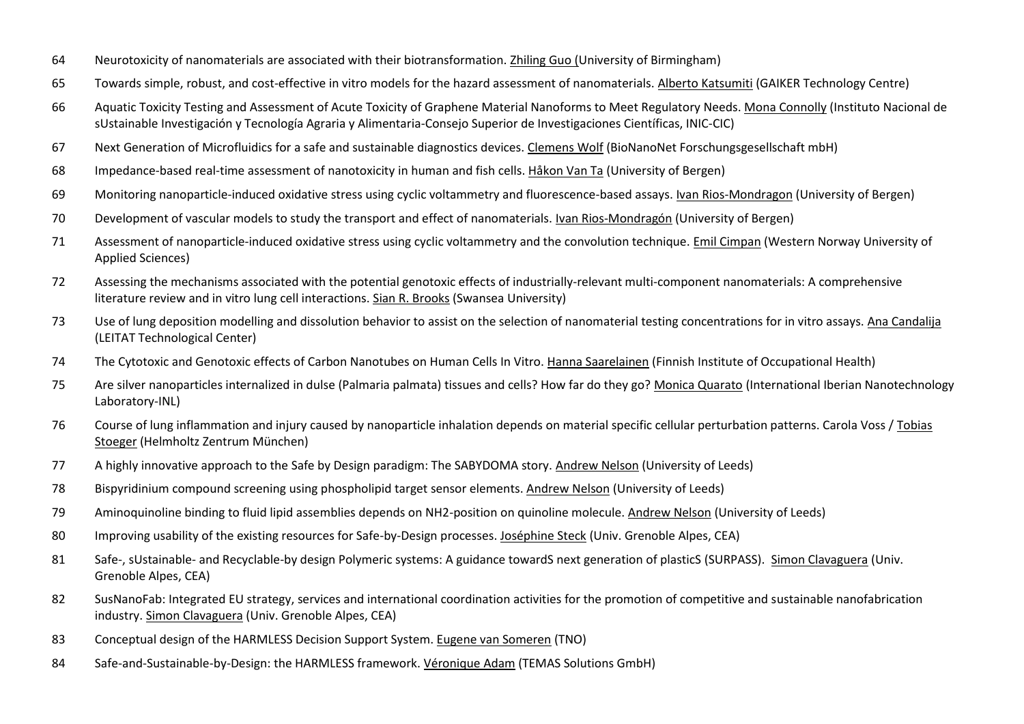- Neurotoxicity of nanomaterials are associated with their biotransformation. Zhiling Guo (University of Birmingham)
- Towards simple, robust, and cost-effective in vitro models for the hazard assessment of nanomaterials. Alberto Katsumiti (GAIKER Technology Centre)
- Aquatic Toxicity Testing and Assessment of Acute Toxicity of Graphene Material Nanoforms to Meet Regulatory Needs. Mona Connolly (Instituto Nacional de sUstainable Investigación y Tecnología Agraria y Alimentaria-Consejo Superior de Investigaciones Científicas, INIC-CIC)
- Next Generation of Microfluidics for a safe and sustainable diagnostics devices. Clemens Wolf (BioNanoNet Forschungsgesellschaft mbH)
- Impedance-based real-time assessment of nanotoxicity in human and fish cells. Håkon Van Ta (University of Bergen)
- Monitoring nanoparticle-induced oxidative stress using cyclic voltammetry and fluorescence-based assays. Ivan Rios-Mondragon (University of Bergen)
- Development of vascular models to study the transport and effect of nanomaterials. Ivan Rios-Mondragón (University of Bergen)
- Assessment of nanoparticle-induced oxidative stress using cyclic voltammetry and the convolution technique. Emil Cimpan (Western Norway University of Applied Sciences)
- Assessing the mechanisms associated with the potential genotoxic effects of industrially-relevant multi-component nanomaterials: A comprehensive literature review and in vitro lung cell interactions. Sian R. Brooks (Swansea University)
- Use of lung deposition modelling and dissolution behavior to assist on the selection of nanomaterial testing concentrations for in vitro assays. Ana Candalija (LEITAT Technological Center)
- The Cytotoxic and Genotoxic effects of Carbon Nanotubes on Human Cells In Vitro. Hanna Saarelainen (Finnish Institute of Occupational Health)
- Are silver nanoparticles internalized in dulse (Palmaria palmata) tissues and cells? How far do they go? Monica Quarato (International Iberian Nanotechnology Laboratory-INL)
- Course of lung inflammation and injury caused by nanoparticle inhalation depends on material specific cellular perturbation patterns. Carola Voss / Tobias Stoeger (Helmholtz Zentrum München)
- A highly innovative approach to the Safe by Design paradigm: The SABYDOMA story. Andrew Nelson (University of Leeds)
- Bispyridinium compound screening using phospholipid target sensor elements. Andrew Nelson (University of Leeds)
- Aminoquinoline binding to fluid lipid assemblies depends on NH2-position on quinoline molecule. Andrew Nelson (University of Leeds)
- 80 Improving usability of the existing resources for Safe-by-Design processes. Joséphine Steck (Univ. Grenoble Alpes, CEA)
- Safe-, sUstainable- and Recyclable-by design Polymeric systems: A guidance towardS next generation of plasticS (SURPASS). Simon Clavaguera (Univ. Grenoble Alpes, CEA)
- 82 SusNanoFab: Integrated EU strategy, services and international coordination activities for the promotion of competitive and sustainable nanofabrication industry. Simon Clavaguera (Univ. Grenoble Alpes, CEA)
- Conceptual design of the HARMLESS Decision Support System. Eugene van Someren (TNO)
- Safe-and-Sustainable-by-Design: the HARMLESS framework. Véronique Adam (TEMAS Solutions GmbH)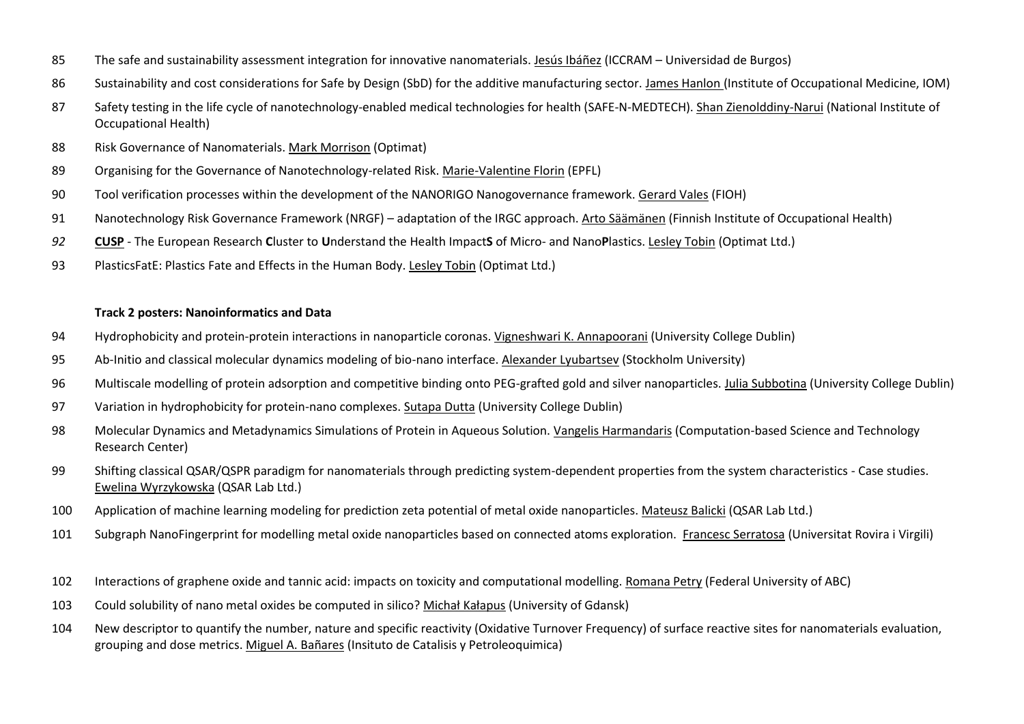- The safe and sustainability assessment integration for innovative nanomaterials. Jesús Ibáñez (ICCRAM Universidad de Burgos)
- Sustainability and cost considerations for Safe by Design (SbD) for the additive manufacturing sector. James Hanlon (Institute of Occupational Medicine, IOM)
- Safety testing in the life cycle of nanotechnology-enabled medical technologies for health (SAFE-N-MEDTECH). Shan Zienolddiny-Narui (National Institute of Occupational Health)
- Risk Governance of Nanomaterials. Mark Morrison (Optimat)
- Organising for the Governance of Nanotechnology-related Risk. Marie-Valentine Florin (EPFL)
- Tool verification processes within the development of the NANORIGO Nanogovernance framework. Gerard Vales (FIOH)
- Nanotechnology Risk Governance Framework (NRGF) adaptation of the IRGC approach. Arto Säämänen (Finnish Institute of Occupational Health)
- **[CUSP](http://www.cusp-research.eu/)** The European Research **C**luster to **U**nderstand the Health Impact**S** of Micro- and Nano**P**lastics. Lesley Tobin (Optimat Ltd.)
- PlasticsFatE: Plastics Fate and Effects in the Human Body. Lesley Tobin (Optimat Ltd.)

#### **Track 2 posters: Nanoinformatics and Data**

- Hydrophobicity and protein-protein interactions in nanoparticle coronas. Vigneshwari K. Annapoorani (University College Dublin)
- Ab-Initio and classical molecular dynamics modeling of bio-nano interface. Alexander Lyubartsev (Stockholm University)
- Multiscale modelling of protein adsorption and competitive binding onto PEG-grafted gold and silver nanoparticles. Julia Subbotina (University College Dublin)
- Variation in hydrophobicity for protein-nano complexes. Sutapa Dutta (University College Dublin)
- Molecular Dynamics and Metadynamics Simulations of Protein in Aqueous Solution. Vangelis Harmandaris (Computation-based Science and Technology Research Center)
- Shifting classical QSAR/QSPR paradigm for nanomaterials through predicting system-dependent properties from the system characteristics Case studies. Ewelina Wyrzykowska (QSAR Lab Ltd.)
- Application of machine learning modeling for prediction zeta potential of metal oxide nanoparticles. Mateusz Balicki (QSAR Lab Ltd.)
- Subgraph NanoFingerprint for modelling metal oxide nanoparticles based on connected atoms exploration. Francesc Serratosa (Universitat Rovira i Virgili)
- Interactions of graphene oxide and tannic acid: impacts on toxicity and computational modelling. Romana Petry (Federal University of ABC)
- Could solubility of nano metal oxides be computed in silico? Michał Kałapus (University of Gdansk)
- New descriptor to quantify the number, nature and specific reactivity (Oxidative Turnover Frequency) of surface reactive sites for nanomaterials evaluation, grouping and dose metrics. Miguel A. Bañares (Insituto de Catalisis y Petroleoquimica)